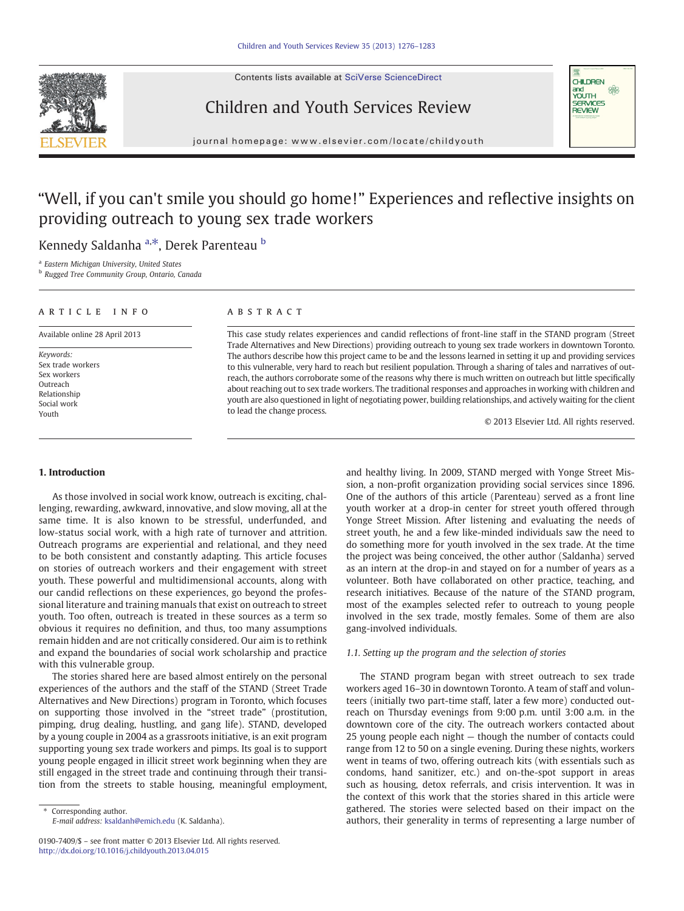Contents lists available at [SciVerse ScienceDirect](http://www.sciencedirect.com/science/journal/01907409)







journal homepage: www.elsevier.com/locate/childyouth

# "Well, if you can't smile you should go home!" Experiences and reflective insights on providing outreach to young sex trade workers

Kennedy Saldanha <sup>a,\*</sup>, Derek Parenteau <sup>b</sup>

<sup>a</sup> Eastern Michigan University, United States

**b** Rugged Tree Community Group, Ontario, Canada

#### ARTICLE INFO ABSTRACT

Available online 28 April 2013

This case study relates experiences and candid reflections of front-line staff in the STAND program (Street Trade Alternatives and New Directions) providing outreach to young sex trade workers in downtown Toronto. The authors describe how this project came to be and the lessons learned in setting it up and providing services to this vulnerable, very hard to reach but resilient population. Through a sharing of tales and narratives of outreach, the authors corroborate some of the reasons why there is much written on outreach but little specifically about reaching out to sex trade workers. The traditional responses and approaches in working with children and youth are also questioned in light of negotiating power, building relationships, and actively waiting for the client to lead the change process.

© 2013 Elsevier Ltd. All rights reserved.

# 1. Introduction

As those involved in social work know, outreach is exciting, challenging, rewarding, awkward, innovative, and slow moving, all at the same time. It is also known to be stressful, underfunded, and low-status social work, with a high rate of turnover and attrition. Outreach programs are experiential and relational, and they need to be both consistent and constantly adapting. This article focuses on stories of outreach workers and their engagement with street youth. These powerful and multidimensional accounts, along with our candid reflections on these experiences, go beyond the professional literature and training manuals that exist on outreach to street youth. Too often, outreach is treated in these sources as a term so obvious it requires no definition, and thus, too many assumptions remain hidden and are not critically considered. Our aim is to rethink and expand the boundaries of social work scholarship and practice with this vulnerable group.

The stories shared here are based almost entirely on the personal experiences of the authors and the staff of the STAND (Street Trade Alternatives and New Directions) program in Toronto, which focuses on supporting those involved in the "street trade" (prostitution, pimping, drug dealing, hustling, and gang life). STAND, developed by a young couple in 2004 as a grassroots initiative, is an exit program supporting young sex trade workers and pimps. Its goal is to support young people engaged in illicit street work beginning when they are still engaged in the street trade and continuing through their transition from the streets to stable housing, meaningful employment,

and healthy living. In 2009, STAND merged with Yonge Street Mission, a non-profit organization providing social services since 1896. One of the authors of this article (Parenteau) served as a front line youth worker at a drop-in center for street youth offered through Yonge Street Mission. After listening and evaluating the needs of street youth, he and a few like-minded individuals saw the need to do something more for youth involved in the sex trade. At the time the project was being conceived, the other author (Saldanha) served as an intern at the drop-in and stayed on for a number of years as a volunteer. Both have collaborated on other practice, teaching, and research initiatives. Because of the nature of the STAND program, most of the examples selected refer to outreach to young people involved in the sex trade, mostly females. Some of them are also gang-involved individuals.

# 1.1. Setting up the program and the selection of stories

The STAND program began with street outreach to sex trade workers aged 16–30 in downtown Toronto. A team of staff and volunteers (initially two part-time staff, later a few more) conducted outreach on Thursday evenings from 9:00 p.m. until 3:00 a.m. in the downtown core of the city. The outreach workers contacted about 25 young people each night — though the number of contacts could range from 12 to 50 on a single evening. During these nights, workers went in teams of two, offering outreach kits (with essentials such as condoms, hand sanitizer, etc.) and on-the-spot support in areas such as housing, detox referrals, and crisis intervention. It was in the context of this work that the stories shared in this article were gathered. The stories were selected based on their impact on the authors, their generality in terms of representing a large number of

Keywords: Sex trade workers Sex workers Outreach Relationship Social work Youth

<sup>⁎</sup> Corresponding author. E-mail address: [ksaldanh@emich.edu](mailto:ksaldanh@emich.edu) (K. Saldanha).

<sup>0190-7409/\$</sup> – see front matter © 2013 Elsevier Ltd. All rights reserved. <http://dx.doi.org/10.1016/j.childyouth.2013.04.015>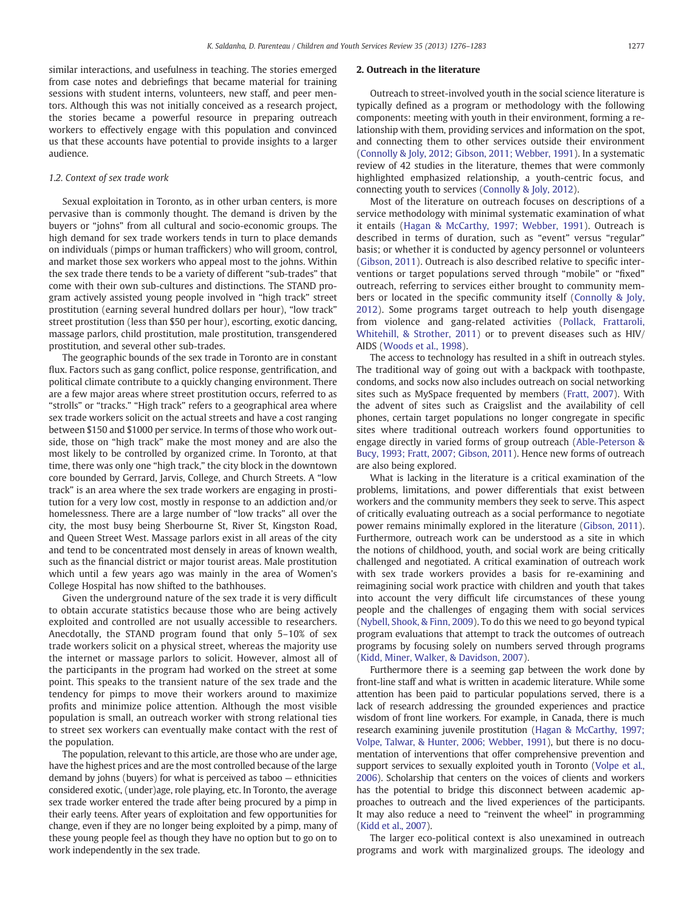similar interactions, and usefulness in teaching. The stories emerged from case notes and debriefings that became material for training sessions with student interns, volunteers, new staff, and peer mentors. Although this was not initially conceived as a research project, the stories became a powerful resource in preparing outreach workers to effectively engage with this population and convinced us that these accounts have potential to provide insights to a larger audience.

#### 1.2. Context of sex trade work

Sexual exploitation in Toronto, as in other urban centers, is more pervasive than is commonly thought. The demand is driven by the buyers or "johns" from all cultural and socio-economic groups. The high demand for sex trade workers tends in turn to place demands on individuals (pimps or human traffickers) who will groom, control, and market those sex workers who appeal most to the johns. Within the sex trade there tends to be a variety of different "sub-trades" that come with their own sub-cultures and distinctions. The STAND program actively assisted young people involved in "high track" street prostitution (earning several hundred dollars per hour), "low track" street prostitution (less than \$50 per hour), escorting, exotic dancing, massage parlors, child prostitution, male prostitution, transgendered prostitution, and several other sub-trades.

The geographic bounds of the sex trade in Toronto are in constant flux. Factors such as gang conflict, police response, gentrification, and political climate contribute to a quickly changing environment. There are a few major areas where street prostitution occurs, referred to as "strolls" or "tracks." "High track" refers to a geographical area where sex trade workers solicit on the actual streets and have a cost ranging between \$150 and \$1000 per service. In terms of those who work outside, those on "high track" make the most money and are also the most likely to be controlled by organized crime. In Toronto, at that time, there was only one "high track," the city block in the downtown core bounded by Gerrard, Jarvis, College, and Church Streets. A "low track" is an area where the sex trade workers are engaging in prostitution for a very low cost, mostly in response to an addiction and/or homelessness. There are a large number of "low tracks" all over the city, the most busy being Sherbourne St, River St, Kingston Road, and Queen Street West. Massage parlors exist in all areas of the city and tend to be concentrated most densely in areas of known wealth, such as the financial district or major tourist areas. Male prostitution which until a few years ago was mainly in the area of Women's College Hospital has now shifted to the bathhouses.

Given the underground nature of the sex trade it is very difficult to obtain accurate statistics because those who are being actively exploited and controlled are not usually accessible to researchers. Anecdotally, the STAND program found that only 5–10% of sex trade workers solicit on a physical street, whereas the majority use the internet or massage parlors to solicit. However, almost all of the participants in the program had worked on the street at some point. This speaks to the transient nature of the sex trade and the tendency for pimps to move their workers around to maximize profits and minimize police attention. Although the most visible population is small, an outreach worker with strong relational ties to street sex workers can eventually make contact with the rest of the population.

The population, relevant to this article, are those who are under age, have the highest prices and are the most controlled because of the large demand by johns (buyers) for what is perceived as taboo — ethnicities considered exotic, (under)age, role playing, etc. In Toronto, the average sex trade worker entered the trade after being procured by a pimp in their early teens. After years of exploitation and few opportunities for change, even if they are no longer being exploited by a pimp, many of these young people feel as though they have no option but to go on to work independently in the sex trade.

#### 2. Outreach in the literature

Outreach to street-involved youth in the social science literature is typically defined as a program or methodology with the following components: meeting with youth in their environment, forming a relationship with them, providing services and information on the spot, and connecting them to other services outside their environment [\(Connolly & Joly, 2012; Gibson, 2011; Webber, 1991\)](#page-7-0). In a systematic review of 42 studies in the literature, themes that were commonly highlighted emphasized relationship, a youth-centric focus, and connecting youth to services ([Connolly & Joly, 2012](#page-7-0)).

Most of the literature on outreach focuses on descriptions of a service methodology with minimal systematic examination of what it entails ([Hagan & McCarthy, 1997; Webber, 1991\)](#page-7-0). Outreach is described in terms of duration, such as "event" versus "regular" basis; or whether it is conducted by agency personnel or volunteers [\(Gibson, 2011\)](#page-7-0). Outreach is also described relative to specific interventions or target populations served through "mobile" or "fixed" outreach, referring to services either brought to community members or located in the specific community itself [\(Connolly & Joly,](#page-7-0) [2012](#page-7-0)). Some programs target outreach to help youth disengage from violence and gang-related activities ([Pollack, Frattaroli,](#page-7-0) [Whitehill, & Strother, 2011](#page-7-0)) or to prevent diseases such as HIV/ AIDS ([Woods et al., 1998\)](#page-7-0).

The access to technology has resulted in a shift in outreach styles. The traditional way of going out with a backpack with toothpaste, condoms, and socks now also includes outreach on social networking sites such as MySpace frequented by members [\(Fratt, 2007\)](#page-7-0). With the advent of sites such as Craigslist and the availability of cell phones, certain target populations no longer congregate in specific sites where traditional outreach workers found opportunities to engage directly in varied forms of group outreach [\(Able-Peterson &](#page-7-0) [Bucy, 1993; Fratt, 2007; Gibson, 2011\)](#page-7-0). Hence new forms of outreach are also being explored.

What is lacking in the literature is a critical examination of the problems, limitations, and power differentials that exist between workers and the community members they seek to serve. This aspect of critically evaluating outreach as a social performance to negotiate power remains minimally explored in the literature [\(Gibson, 2011](#page-7-0)). Furthermore, outreach work can be understood as a site in which the notions of childhood, youth, and social work are being critically challenged and negotiated. A critical examination of outreach work with sex trade workers provides a basis for re-examining and reimagining social work practice with children and youth that takes into account the very difficult life circumstances of these young people and the challenges of engaging them with social services [\(Nybell, Shook, & Finn, 2009](#page-7-0)). To do this we need to go beyond typical program evaluations that attempt to track the outcomes of outreach programs by focusing solely on numbers served through programs [\(Kidd, Miner, Walker, & Davidson, 2007\)](#page-7-0).

Furthermore there is a seeming gap between the work done by front-line staff and what is written in academic literature. While some attention has been paid to particular populations served, there is a lack of research addressing the grounded experiences and practice wisdom of front line workers. For example, in Canada, there is much research examining juvenile prostitution [\(Hagan & McCarthy, 1997;](#page-7-0) [Volpe, Talwar, & Hunter, 2006; Webber, 1991](#page-7-0)), but there is no documentation of interventions that offer comprehensive prevention and support services to sexually exploited youth in Toronto ([Volpe et al.,](#page-7-0) [2006](#page-7-0)). Scholarship that centers on the voices of clients and workers has the potential to bridge this disconnect between academic approaches to outreach and the lived experiences of the participants. It may also reduce a need to "reinvent the wheel" in programming [\(Kidd et al., 2007](#page-7-0)).

The larger eco-political context is also unexamined in outreach programs and work with marginalized groups. The ideology and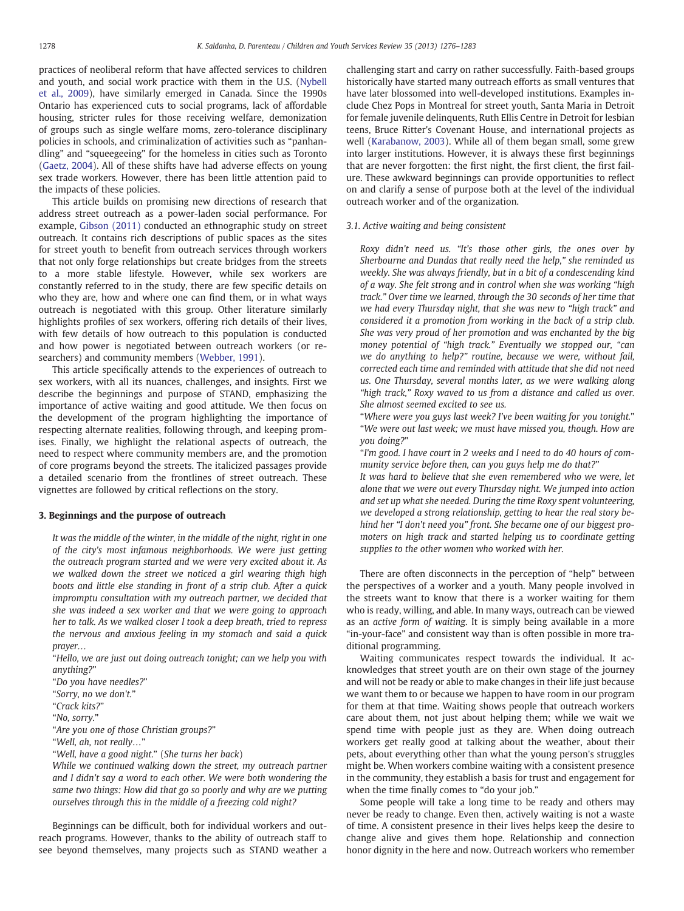practices of neoliberal reform that have affected services to children and youth, and social work practice with them in the U.S. [\(Nybell](#page-7-0) [et al., 2009](#page-7-0)), have similarly emerged in Canada. Since the 1990s Ontario has experienced cuts to social programs, lack of affordable housing, stricter rules for those receiving welfare, demonization of groups such as single welfare moms, zero-tolerance disciplinary policies in schools, and criminalization of activities such as "panhandling" and "squeegeeing" for the homeless in cities such as Toronto [\(Gaetz, 2004\)](#page-7-0). All of these shifts have had adverse effects on young sex trade workers. However, there has been little attention paid to the impacts of these policies.

This article builds on promising new directions of research that address street outreach as a power-laden social performance. For example, [Gibson \(2011\)](#page-7-0) conducted an ethnographic study on street outreach. It contains rich descriptions of public spaces as the sites for street youth to benefit from outreach services through workers that not only forge relationships but create bridges from the streets to a more stable lifestyle. However, while sex workers are constantly referred to in the study, there are few specific details on who they are, how and where one can find them, or in what ways outreach is negotiated with this group. Other literature similarly highlights profiles of sex workers, offering rich details of their lives, with few details of how outreach to this population is conducted and how power is negotiated between outreach workers (or researchers) and community members [\(Webber, 1991](#page-7-0)).

This article specifically attends to the experiences of outreach to sex workers, with all its nuances, challenges, and insights. First we describe the beginnings and purpose of STAND, emphasizing the importance of active waiting and good attitude. We then focus on the development of the program highlighting the importance of respecting alternate realities, following through, and keeping promises. Finally, we highlight the relational aspects of outreach, the need to respect where community members are, and the promotion of core programs beyond the streets. The italicized passages provide a detailed scenario from the frontlines of street outreach. These vignettes are followed by critical reflections on the story.

### 3. Beginnings and the purpose of outreach

It was the middle of the winter, in the middle of the night, right in one of the city's most infamous neighborhoods. We were just getting the outreach program started and we were very excited about it. As we walked down the street we noticed a girl wearing thigh high boots and little else standing in front of a strip club. After a quick impromptu consultation with my outreach partner, we decided that she was indeed a sex worker and that we were going to approach her to talk. As we walked closer I took a deep breath, tried to repress the nervous and anxious feeling in my stomach and said a quick prayer…

"Hello, we are just out doing outreach tonight; can we help you with anything?"

- "Do you have needles?"
- "Sorry, no we don't."
- "Crack kits?"
- "No, sorry."
- "Are you one of those Christian groups?"
- "Well, ah, not really…"
- "Well, have a good night." (She turns her back)

While we continued walking down the street, my outreach partner and I didn't say a word to each other. We were both wondering the same two things: How did that go so poorly and why are we putting ourselves through this in the middle of a freezing cold night?

Beginnings can be difficult, both for individual workers and outreach programs. However, thanks to the ability of outreach staff to see beyond themselves, many projects such as STAND weather a challenging start and carry on rather successfully. Faith-based groups historically have started many outreach efforts as small ventures that have later blossomed into well-developed institutions. Examples include Chez Pops in Montreal for street youth, Santa Maria in Detroit for female juvenile delinquents, Ruth Ellis Centre in Detroit for lesbian teens, Bruce Ritter's Covenant House, and international projects as well ([Karabanow, 2003\)](#page-7-0). While all of them began small, some grew into larger institutions. However, it is always these first beginnings that are never forgotten: the first night, the first client, the first failure. These awkward beginnings can provide opportunities to reflect on and clarify a sense of purpose both at the level of the individual outreach worker and of the organization.

# 3.1. Active waiting and being consistent

Roxy didn't need us. "It's those other girls, the ones over by Sherbourne and Dundas that really need the help," she reminded us weekly. She was always friendly, but in a bit of a condescending kind of a way. She felt strong and in control when she was working "high track." Over time we learned, through the 30 seconds of her time that we had every Thursday night, that she was new to "high track" and considered it a promotion from working in the back of a strip club. She was very proud of her promotion and was enchanted by the big money potential of "high track." Eventually we stopped our, "can we do anything to help?" routine, because we were, without fail, corrected each time and reminded with attitude that she did not need us. One Thursday, several months later, as we were walking along "high track," Roxy waved to us from a distance and called us over. She almost seemed excited to see us.

"Where were you guys last week? I've been waiting for you tonight." "We were out last week; we must have missed you, though. How are you doing?"

"I'm good. I have court in 2 weeks and I need to do 40 hours of community service before then, can you guys help me do that?"

It was hard to believe that she even remembered who we were, let alone that we were out every Thursday night. We jumped into action and set up what she needed. During the time Roxy spent volunteering, we developed a strong relationship, getting to hear the real story behind her "I don't need you" front. She became one of our biggest promoters on high track and started helping us to coordinate getting supplies to the other women who worked with her.

There are often disconnects in the perception of "help" between the perspectives of a worker and a youth. Many people involved in the streets want to know that there is a worker waiting for them who is ready, willing, and able. In many ways, outreach can be viewed as an active form of waiting. It is simply being available in a more "in-your-face" and consistent way than is often possible in more traditional programming.

Waiting communicates respect towards the individual. It acknowledges that street youth are on their own stage of the journey and will not be ready or able to make changes in their life just because we want them to or because we happen to have room in our program for them at that time. Waiting shows people that outreach workers care about them, not just about helping them; while we wait we spend time with people just as they are. When doing outreach workers get really good at talking about the weather, about their pets, about everything other than what the young person's struggles might be. When workers combine waiting with a consistent presence in the community, they establish a basis for trust and engagement for when the time finally comes to "do your job."

Some people will take a long time to be ready and others may never be ready to change. Even then, actively waiting is not a waste of time. A consistent presence in their lives helps keep the desire to change alive and gives them hope. Relationship and connection honor dignity in the here and now. Outreach workers who remember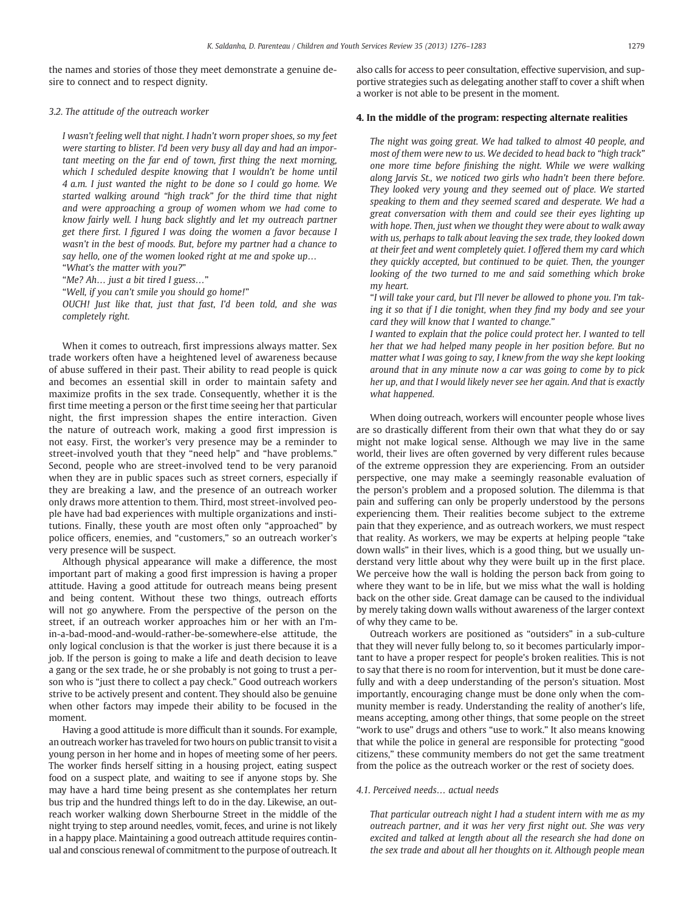the names and stories of those they meet demonstrate a genuine desire to connect and to respect dignity.

### 3.2. The attitude of the outreach worker

I wasn't feeling well that night. I hadn't worn proper shoes, so my feet were starting to blister. I'd been very busy all day and had an important meeting on the far end of town, first thing the next morning, which I scheduled despite knowing that I wouldn't be home until 4 a.m. I just wanted the night to be done so I could go home. We started walking around "high track" for the third time that night and were approaching a group of women whom we had come to know fairly well. I hung back slightly and let my outreach partner get there first. I figured I was doing the women a favor because I wasn't in the best of moods. But, before my partner had a chance to say hello, one of the women looked right at me and spoke up…

"What's the matter with you?"

"Me? Ah… just a bit tired I guess…"

"Well, if you can't smile you should go home!"

OUCH! Just like that, just that fast, I'd been told, and she was completely right.

When it comes to outreach, first impressions always matter. Sex trade workers often have a heightened level of awareness because of abuse suffered in their past. Their ability to read people is quick and becomes an essential skill in order to maintain safety and maximize profits in the sex trade. Consequently, whether it is the first time meeting a person or the first time seeing her that particular night, the first impression shapes the entire interaction. Given the nature of outreach work, making a good first impression is not easy. First, the worker's very presence may be a reminder to street-involved youth that they "need help" and "have problems." Second, people who are street-involved tend to be very paranoid when they are in public spaces such as street corners, especially if they are breaking a law, and the presence of an outreach worker only draws more attention to them. Third, most street-involved people have had bad experiences with multiple organizations and institutions. Finally, these youth are most often only "approached" by police officers, enemies, and "customers," so an outreach worker's very presence will be suspect.

Although physical appearance will make a difference, the most important part of making a good first impression is having a proper attitude. Having a good attitude for outreach means being present and being content. Without these two things, outreach efforts will not go anywhere. From the perspective of the person on the street, if an outreach worker approaches him or her with an I'min-a-bad-mood-and-would-rather-be-somewhere-else attitude, the only logical conclusion is that the worker is just there because it is a job. If the person is going to make a life and death decision to leave a gang or the sex trade, he or she probably is not going to trust a person who is "just there to collect a pay check." Good outreach workers strive to be actively present and content. They should also be genuine when other factors may impede their ability to be focused in the moment.

Having a good attitude is more difficult than it sounds. For example, an outreach worker has traveled for two hours on public transit to visit a young person in her home and in hopes of meeting some of her peers. The worker finds herself sitting in a housing project, eating suspect food on a suspect plate, and waiting to see if anyone stops by. She may have a hard time being present as she contemplates her return bus trip and the hundred things left to do in the day. Likewise, an outreach worker walking down Sherbourne Street in the middle of the night trying to step around needles, vomit, feces, and urine is not likely in a happy place. Maintaining a good outreach attitude requires continual and conscious renewal of commitment to the purpose of outreach. It

also calls for access to peer consultation, effective supervision, and supportive strategies such as delegating another staff to cover a shift when a worker is not able to be present in the moment.

# 4. In the middle of the program: respecting alternate realities

The night was going great. We had talked to almost 40 people, and most of them were new to us. We decided to head back to "high track" one more time before finishing the night. While we were walking along Jarvis St., we noticed two girls who hadn't been there before. They looked very young and they seemed out of place. We started speaking to them and they seemed scared and desperate. We had a great conversation with them and could see their eyes lighting up with hope. Then, just when we thought they were about to walk away with us, perhaps to talk about leaving the sex trade, they looked down at their feet and went completely quiet. I offered them my card which they quickly accepted, but continued to be quiet. Then, the younger looking of the two turned to me and said something which broke my heart.

"I will take your card, but I'll never be allowed to phone you. I'm taking it so that if I die tonight, when they find my body and see your card they will know that I wanted to change."

I wanted to explain that the police could protect her. I wanted to tell her that we had helped many people in her position before. But no matter what I was going to say, I knew from the way she kept looking around that in any minute now a car was going to come by to pick her up, and that I would likely never see her again. And that is exactly what happened.

When doing outreach, workers will encounter people whose lives are so drastically different from their own that what they do or say might not make logical sense. Although we may live in the same world, their lives are often governed by very different rules because of the extreme oppression they are experiencing. From an outsider perspective, one may make a seemingly reasonable evaluation of the person's problem and a proposed solution. The dilemma is that pain and suffering can only be properly understood by the persons experiencing them. Their realities become subject to the extreme pain that they experience, and as outreach workers, we must respect that reality. As workers, we may be experts at helping people "take down walls" in their lives, which is a good thing, but we usually understand very little about why they were built up in the first place. We perceive how the wall is holding the person back from going to where they want to be in life, but we miss what the wall is holding back on the other side. Great damage can be caused to the individual by merely taking down walls without awareness of the larger context of why they came to be.

Outreach workers are positioned as "outsiders" in a sub-culture that they will never fully belong to, so it becomes particularly important to have a proper respect for people's broken realities. This is not to say that there is no room for intervention, but it must be done carefully and with a deep understanding of the person's situation. Most importantly, encouraging change must be done only when the community member is ready. Understanding the reality of another's life, means accepting, among other things, that some people on the street "work to use" drugs and others "use to work." It also means knowing that while the police in general are responsible for protecting "good citizens," these community members do not get the same treatment from the police as the outreach worker or the rest of society does.

### 4.1. Perceived needs… actual needs

That particular outreach night I had a student intern with me as my outreach partner, and it was her very first night out. She was very excited and talked at length about all the research she had done on the sex trade and about all her thoughts on it. Although people mean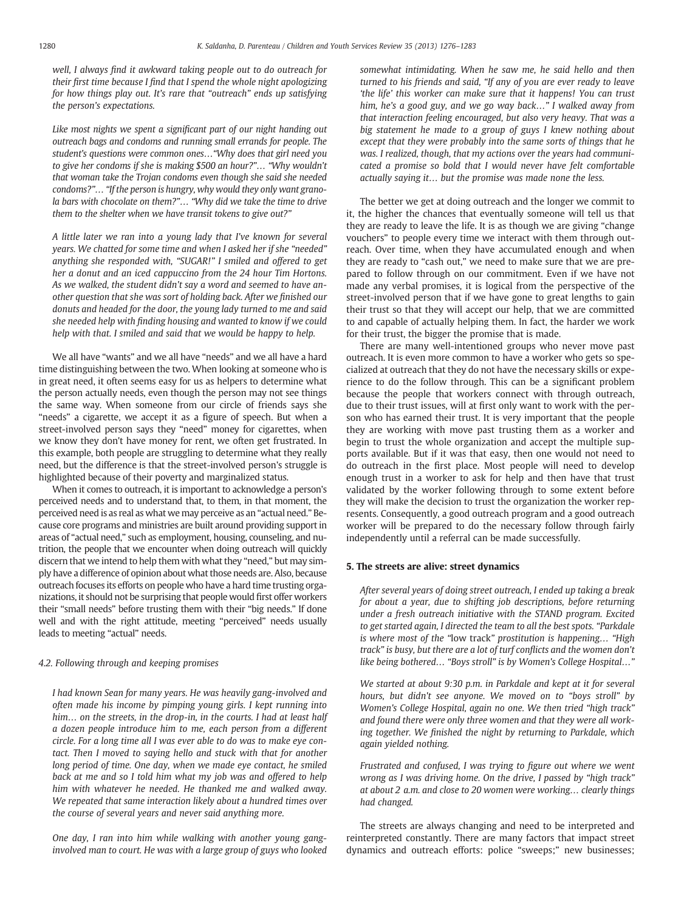well, I always find it awkward taking people out to do outreach for their first time because I find that I spend the whole night apologizing for how things play out. It's rare that "outreach" ends up satisfying the person's expectations.

Like most nights we spent a significant part of our night handing out outreach bags and condoms and running small errands for people. The student's questions were common ones…"Why does that girl need you to give her condoms if she is making \$500 an hour?"… "Why wouldn't that woman take the Trojan condoms even though she said she needed condoms?"… "If the person is hungry, why would they only want granola bars with chocolate on them?"… "Why did we take the time to drive them to the shelter when we have transit tokens to give out?"

A little later we ran into a young lady that I've known for several years. We chatted for some time and when I asked her if she "needed" anything she responded with, "SUGAR!" I smiled and offered to get her a donut and an iced cappuccino from the 24 hour Tim Hortons. As we walked, the student didn't say a word and seemed to have another question that she was sort of holding back. After we finished our donuts and headed for the door, the young lady turned to me and said she needed help with finding housing and wanted to know if we could help with that. I smiled and said that we would be happy to help.

We all have "wants" and we all have "needs" and we all have a hard time distinguishing between the two. When looking at someone who is in great need, it often seems easy for us as helpers to determine what the person actually needs, even though the person may not see things the same way. When someone from our circle of friends says she "needs" a cigarette, we accept it as a figure of speech. But when a street-involved person says they "need" money for cigarettes, when we know they don't have money for rent, we often get frustrated. In this example, both people are struggling to determine what they really need, but the difference is that the street-involved person's struggle is highlighted because of their poverty and marginalized status.

When it comes to outreach, it is important to acknowledge a person's perceived needs and to understand that, to them, in that moment, the perceived need is as real as what we may perceive as an "actual need." Because core programs and ministries are built around providing support in areas of "actual need," such as employment, housing, counseling, and nutrition, the people that we encounter when doing outreach will quickly discern that we intend to help them with what they "need," but may simply have a difference of opinion about what those needs are. Also, because outreach focuses its efforts on people who have a hard time trusting organizations, it should not be surprising that people would first offer workers their "small needs" before trusting them with their "big needs." If done well and with the right attitude, meeting "perceived" needs usually leads to meeting "actual" needs.

# 4.2. Following through and keeping promises

I had known Sean for many years. He was heavily gang-involved and often made his income by pimping young girls. I kept running into him… on the streets, in the drop-in, in the courts. I had at least half a dozen people introduce him to me, each person from a different circle. For a long time all I was ever able to do was to make eye contact. Then I moved to saying hello and stuck with that for another long period of time. One day, when we made eye contact, he smiled back at me and so I told him what my job was and offered to help him with whatever he needed. He thanked me and walked away. We repeated that same interaction likely about a hundred times over the course of several years and never said anything more.

One day, I ran into him while walking with another young ganginvolved man to court. He was with a large group of guys who looked somewhat intimidating. When he saw me, he said hello and then turned to his friends and said, "If any of you are ever ready to leave 'the life' this worker can make sure that it happens! You can trust him, he's a good guy, and we go way back..." I walked away from that interaction feeling encouraged, but also very heavy. That was a big statement he made to a group of guys I knew nothing about except that they were probably into the same sorts of things that he was. I realized, though, that my actions over the years had communicated a promise so bold that I would never have felt comfortable actually saying it… but the promise was made none the less.

The better we get at doing outreach and the longer we commit to it, the higher the chances that eventually someone will tell us that they are ready to leave the life. It is as though we are giving "change vouchers" to people every time we interact with them through outreach. Over time, when they have accumulated enough and when they are ready to "cash out," we need to make sure that we are prepared to follow through on our commitment. Even if we have not made any verbal promises, it is logical from the perspective of the street-involved person that if we have gone to great lengths to gain their trust so that they will accept our help, that we are committed to and capable of actually helping them. In fact, the harder we work for their trust, the bigger the promise that is made.

There are many well-intentioned groups who never move past outreach. It is even more common to have a worker who gets so specialized at outreach that they do not have the necessary skills or experience to do the follow through. This can be a significant problem because the people that workers connect with through outreach, due to their trust issues, will at first only want to work with the person who has earned their trust. It is very important that the people they are working with move past trusting them as a worker and begin to trust the whole organization and accept the multiple supports available. But if it was that easy, then one would not need to do outreach in the first place. Most people will need to develop enough trust in a worker to ask for help and then have that trust validated by the worker following through to some extent before they will make the decision to trust the organization the worker represents. Consequently, a good outreach program and a good outreach worker will be prepared to do the necessary follow through fairly independently until a referral can be made successfully.

# 5. The streets are alive: street dynamics

After several years of doing street outreach, I ended up taking a break for about a year, due to shifting job descriptions, before returning under a fresh outreach initiative with the STAND program. Excited to get started again, I directed the team to all the best spots. "Parkdale is where most of the "low track" prostitution is happening… "High track" is busy, but there are a lot of turf conflicts and the women don't like being bothered… "Boys stroll" is by Women's College Hospital…"

We started at about 9:30 p.m. in Parkdale and kept at it for several hours, but didn't see anyone. We moved on to "boys stroll" by Women's College Hospital, again no one. We then tried "high track" and found there were only three women and that they were all working together. We finished the night by returning to Parkdale, which again yielded nothing.

Frustrated and confused, I was trying to figure out where we went wrong as I was driving home. On the drive, I passed by "high track" at about 2 a.m. and close to 20 women were working… clearly things had changed.

The streets are always changing and need to be interpreted and reinterpreted constantly. There are many factors that impact street dynamics and outreach efforts: police "sweeps;" new businesses;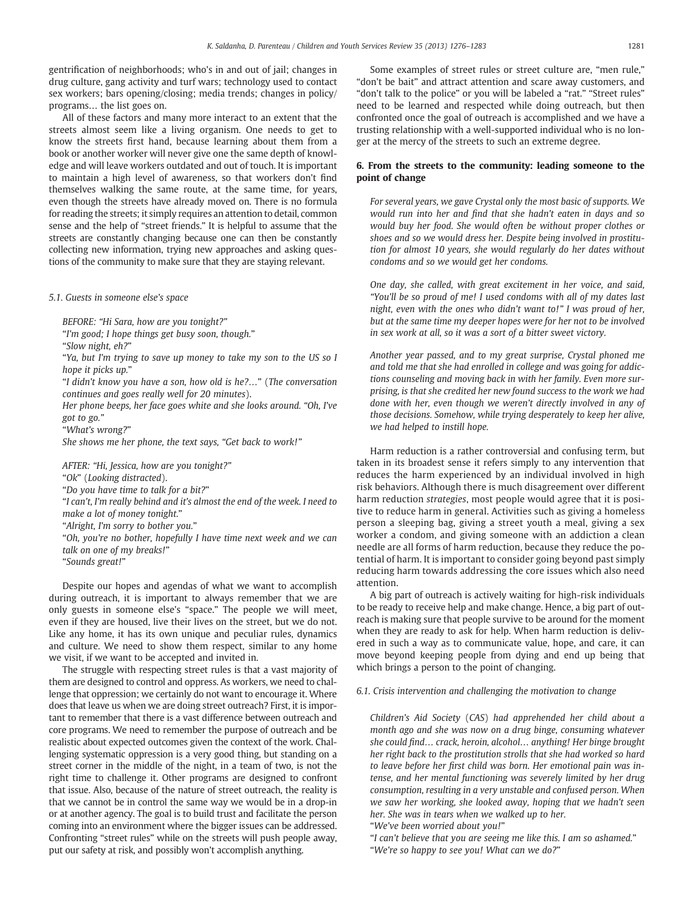gentrification of neighborhoods; who's in and out of jail; changes in drug culture, gang activity and turf wars; technology used to contact sex workers; bars opening/closing; media trends; changes in policy/ programs… the list goes on.

All of these factors and many more interact to an extent that the streets almost seem like a living organism. One needs to get to know the streets first hand, because learning about them from a book or another worker will never give one the same depth of knowledge and will leave workers outdated and out of touch. It is important to maintain a high level of awareness, so that workers don't find themselves walking the same route, at the same time, for years, even though the streets have already moved on. There is no formula for reading the streets; it simply requires an attention to detail, common sense and the help of "street friends." It is helpful to assume that the streets are constantly changing because one can then be constantly collecting new information, trying new approaches and asking questions of the community to make sure that they are staying relevant.

#### 5.1. Guests in someone else's space

BEFORE: "Hi Sara, how are you tonight?"

"I'm good; I hope things get busy soon, though."

"Slow night, eh?"

"Ya, but I'm trying to save up money to take my son to the US so I hope it picks up."

"I didn't know you have a son, how old is he?…" (The conversation continues and goes really well for 20 minutes).

Her phone beeps, her face goes white and she looks around. "Oh, I've got to go."

"What's wrong?"

She shows me her phone, the text says, "Get back to work!"

AFTER: "Hi, Jessica, how are you tonight?"

"Ok" (Looking distracted).

"Do you have time to talk for a bit?"

"I can't, I'm really behind and it's almost the end of the week. I need to make a lot of money tonight."

"Alright, I'm sorry to bother you."

"Oh, you're no bother, hopefully I have time next week and we can talk on one of my breaks!"

"Sounds great!"

Despite our hopes and agendas of what we want to accomplish during outreach, it is important to always remember that we are only guests in someone else's "space." The people we will meet, even if they are housed, live their lives on the street, but we do not. Like any home, it has its own unique and peculiar rules, dynamics and culture. We need to show them respect, similar to any home we visit, if we want to be accepted and invited in.

The struggle with respecting street rules is that a vast majority of them are designed to control and oppress. As workers, we need to challenge that oppression; we certainly do not want to encourage it. Where does that leave us when we are doing street outreach? First, it is important to remember that there is a vast difference between outreach and core programs. We need to remember the purpose of outreach and be realistic about expected outcomes given the context of the work. Challenging systematic oppression is a very good thing, but standing on a street corner in the middle of the night, in a team of two, is not the right time to challenge it. Other programs are designed to confront that issue. Also, because of the nature of street outreach, the reality is that we cannot be in control the same way we would be in a drop-in or at another agency. The goal is to build trust and facilitate the person coming into an environment where the bigger issues can be addressed. Confronting "street rules" while on the streets will push people away, put our safety at risk, and possibly won't accomplish anything.

Some examples of street rules or street culture are, "men rule," "don't be bait" and attract attention and scare away customers, and "don't talk to the police" or you will be labeled a "rat." "Street rules" need to be learned and respected while doing outreach, but then confronted once the goal of outreach is accomplished and we have a trusting relationship with a well-supported individual who is no longer at the mercy of the streets to such an extreme degree.

# 6. From the streets to the community: leading someone to the point of change

For several years, we gave Crystal only the most basic of supports. We would run into her and find that she hadn't eaten in days and so would buy her food. She would often be without proper clothes or shoes and so we would dress her. Despite being involved in prostitution for almost 10 years, she would regularly do her dates without condoms and so we would get her condoms.

One day, she called, with great excitement in her voice, and said, "You'll be so proud of me! I used condoms with all of my dates last night, even with the ones who didn't want to!" I was proud of her, but at the same time my deeper hopes were for her not to be involved in sex work at all, so it was a sort of a bitter sweet victory.

Another year passed, and to my great surprise, Crystal phoned me and told me that she had enrolled in college and was going for addictions counseling and moving back in with her family. Even more surprising, is that she credited her new found success to the work we had done with her, even though we weren't directly involved in any of those decisions. Somehow, while trying desperately to keep her alive, we had helped to instill hope.

Harm reduction is a rather controversial and confusing term, but taken in its broadest sense it refers simply to any intervention that reduces the harm experienced by an individual involved in high risk behaviors. Although there is much disagreement over different harm reduction strategies, most people would agree that it is positive to reduce harm in general. Activities such as giving a homeless person a sleeping bag, giving a street youth a meal, giving a sex worker a condom, and giving someone with an addiction a clean needle are all forms of harm reduction, because they reduce the potential of harm. It is important to consider going beyond past simply reducing harm towards addressing the core issues which also need attention.

A big part of outreach is actively waiting for high-risk individuals to be ready to receive help and make change. Hence, a big part of outreach is making sure that people survive to be around for the moment when they are ready to ask for help. When harm reduction is delivered in such a way as to communicate value, hope, and care, it can move beyond keeping people from dying and end up being that which brings a person to the point of changing.

6.1. Crisis intervention and challenging the motivation to change

Children's Aid Society (CAS) had apprehended her child about a month ago and she was now on a drug binge, consuming whatever she could find… crack, heroin, alcohol… anything! Her binge brought her right back to the prostitution strolls that she had worked so hard to leave before her first child was born. Her emotional pain was intense, and her mental functioning was severely limited by her drug consumption, resulting in a very unstable and confused person. When we saw her working, she looked away, hoping that we hadn't seen her. She was in tears when we walked up to her.

"We've been worried about you!"

"I can't believe that you are seeing me like this. I am so ashamed." "We're so happy to see you! What can we do?"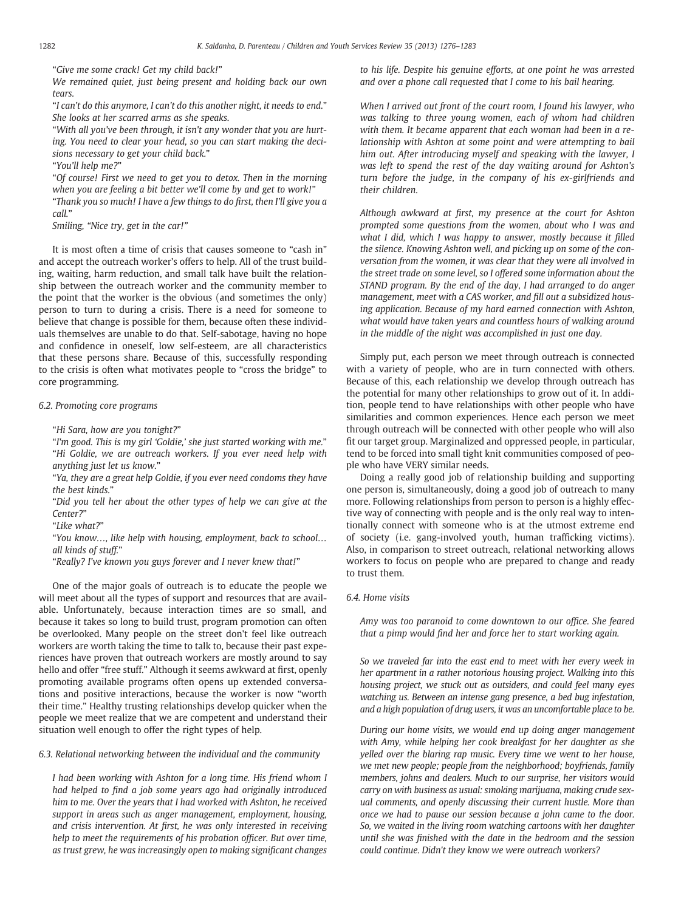"Give me some crack! Get my child back!"

We remained quiet, just being present and holding back our own tears.

"I can't do this anymore, I can't do this another night, it needs to end." She looks at her scarred arms as she speaks.

"With all you've been through, it isn't any wonder that you are hurting. You need to clear your head, so you can start making the decisions necessary to get your child back."

"You'll help me?"

"Of course! First we need to get you to detox. Then in the morning when you are feeling a bit better we'll come by and get to work!" "Thank you so much! I have a few things to do first, then I'll give you a call."

Smiling, "Nice try, get in the car!"

It is most often a time of crisis that causes someone to "cash in" and accept the outreach worker's offers to help. All of the trust building, waiting, harm reduction, and small talk have built the relationship between the outreach worker and the community member to the point that the worker is the obvious (and sometimes the only) person to turn to during a crisis. There is a need for someone to believe that change is possible for them, because often these individuals themselves are unable to do that. Self-sabotage, having no hope and confidence in oneself, low self-esteem, are all characteristics that these persons share. Because of this, successfully responding to the crisis is often what motivates people to "cross the bridge" to core programming.

# 6.2. Promoting core programs

"Hi Sara, how are you tonight?"

"I'm good. This is my girl 'Goldie,' she just started working with me." "Hi Goldie, we are outreach workers. If you ever need help with anything just let us know."

"Ya, they are a great help Goldie, if you ever need condoms they have the best kinds."

"Did you tell her about the other types of help we can give at the Center?"

"Like what?"

"You know…, like help with housing, employment, back to school… all kinds of stuff."

"Really? I've known you guys forever and I never knew that!"

One of the major goals of outreach is to educate the people we will meet about all the types of support and resources that are available. Unfortunately, because interaction times are so small, and because it takes so long to build trust, program promotion can often be overlooked. Many people on the street don't feel like outreach workers are worth taking the time to talk to, because their past experiences have proven that outreach workers are mostly around to say hello and offer "free stuff." Although it seems awkward at first, openly promoting available programs often opens up extended conversations and positive interactions, because the worker is now "worth their time." Healthy trusting relationships develop quicker when the people we meet realize that we are competent and understand their situation well enough to offer the right types of help.

6.3. Relational networking between the individual and the community

I had been working with Ashton for a long time. His friend whom I had helped to find a job some years ago had originally introduced him to me. Over the years that I had worked with Ashton, he received support in areas such as anger management, employment, housing, and crisis intervention. At first, he was only interested in receiving help to meet the requirements of his probation officer. But over time, as trust grew, he was increasingly open to making significant changes

to his life. Despite his genuine efforts, at one point he was arrested and over a phone call requested that I come to his bail hearing.

When I arrived out front of the court room, I found his lawyer, who was talking to three young women, each of whom had children with them. It became apparent that each woman had been in a relationship with Ashton at some point and were attempting to bail him out. After introducing myself and speaking with the lawyer, I was left to spend the rest of the day waiting around for Ashton's turn before the judge, in the company of his ex-girlfriends and their children.

Although awkward at first, my presence at the court for Ashton prompted some questions from the women, about who I was and what I did, which I was happy to answer, mostly because it filled the silence. Knowing Ashton well, and picking up on some of the conversation from the women, it was clear that they were all involved in the street trade on some level, so I offered some information about the STAND program. By the end of the day, I had arranged to do anger management, meet with a CAS worker, and fill out a subsidized housing application. Because of my hard earned connection with Ashton, what would have taken years and countless hours of walking around in the middle of the night was accomplished in just one day.

Simply put, each person we meet through outreach is connected with a variety of people, who are in turn connected with others. Because of this, each relationship we develop through outreach has the potential for many other relationships to grow out of it. In addition, people tend to have relationships with other people who have similarities and common experiences. Hence each person we meet through outreach will be connected with other people who will also fit our target group. Marginalized and oppressed people, in particular, tend to be forced into small tight knit communities composed of people who have VERY similar needs.

Doing a really good job of relationship building and supporting one person is, simultaneously, doing a good job of outreach to many more. Following relationships from person to person is a highly effective way of connecting with people and is the only real way to intentionally connect with someone who is at the utmost extreme end of society (i.e. gang-involved youth, human trafficking victims). Also, in comparison to street outreach, relational networking allows workers to focus on people who are prepared to change and ready to trust them.

#### 6.4. Home visits

Amy was too paranoid to come downtown to our office. She feared that a pimp would find her and force her to start working again.

So we traveled far into the east end to meet with her every week in her apartment in a rather notorious housing project. Walking into this housing project, we stuck out as outsiders, and could feel many eyes watching us. Between an intense gang presence, a bed bug infestation, and a high population of drug users, it was an uncomfortable place to be.

During our home visits, we would end up doing anger management with Amy, while helping her cook breakfast for her daughter as she yelled over the blaring rap music. Every time we went to her house, we met new people; people from the neighborhood; boyfriends, family members, johns and dealers. Much to our surprise, her visitors would carry on with business as usual: smoking marijuana, making crude sexual comments, and openly discussing their current hustle. More than once we had to pause our session because a john came to the door. So, we waited in the living room watching cartoons with her daughter until she was finished with the date in the bedroom and the session could continue. Didn't they know we were outreach workers?